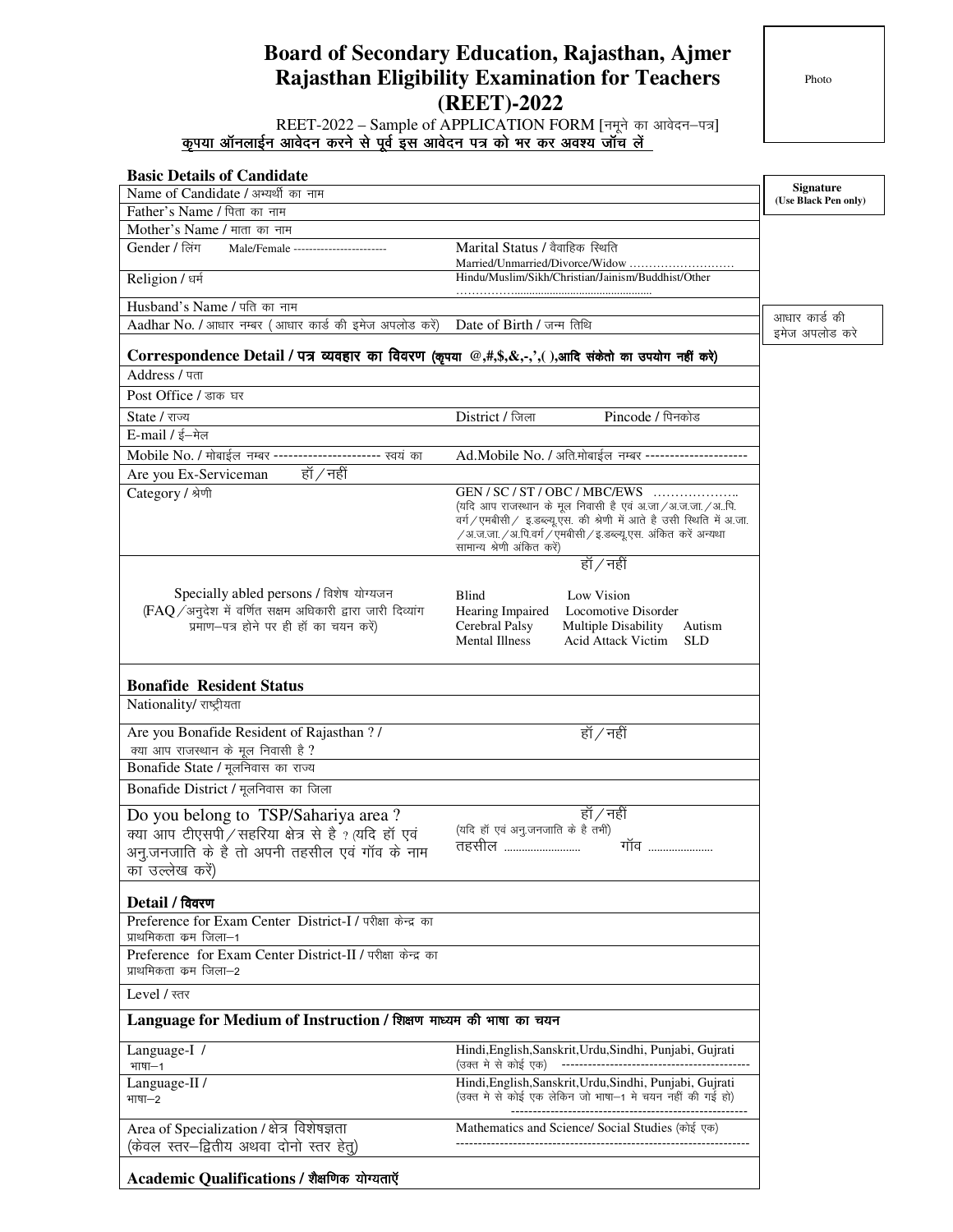## **Board of Secondary Education, Rajasthan, Ajmer Rajasthan Eligibility Examination for Teachers (REET)-2022**

| REET-2022 – Sample of APPLICATION FORM [नमूने का आवेदन-पत्र]<br>कृपया ऑनलाईन आवेदन करने से पूर्व इस आवेदन पत्र को भर कर अवश्य जॉच लें<br><b>Basic Details of Candidate</b><br><b>Signature</b><br>Name of Candidate / अभ्यर्थी का नाम<br>(Use Black Pen only)<br>Father's Name / पिता का नाम<br>Mother's Name / माता का नाम<br>Gender / लिंग<br>Marital Status / वैवाहिक स्थिति<br>Male/Female -----------------------<br>Married/Unmarried/Divorce/Widow<br>Hindu/Muslim/Sikh/Christian/Jainism/Buddhist/Other<br>Religion / धर्म<br>Husband's Name / पति का नाम<br>आधार कार्ड की<br>Aadhar No. / आधार नम्बर (आधार कार्ड की इमेज अपलोड करें)<br>Date of Birth / जन्म तिथि<br>इमेज अपलोड करे<br>Correspondence Detail / पत्र व्यवहार का विवरण (कृपया @,#,\$,&,-,', ),आदि संकेतो का उपयोग नहीं करे)<br>Address / पता<br>Post Office / डाक घर<br>District / जिला<br>Pincode / पिनकोड<br>State / राज्य<br>E-mail / ई-मेल<br>Ad.Mobile No. / अति.मोबाईल नम्बर --<br>Mobile No. / मोबाईल नम्बर ----------------------- स्वयं का<br>हॉ / नहीं<br>Are you Ex-Serviceman<br>GEN / SC / ST / OBC / MBC/EWS<br>Category / श्रेणी<br>(यदि आप राजस्थान के मूल निवासी है एवं अ.जा/अ.ज.जा./अपि.<br>वर्ग/एमबीसी/ इ.डब्ल्यू.एस. की श्रेणी में आते है उसी स्थिति में अ.जा.<br>$\sqrt{3}$ अ.ज.जा. $\sqrt{3}$ .पि.वर्ग $\sqrt{v}$ मबीसी $\sqrt{v}$ इ.डब्ल्यू.एस. अंकित करें अन्यथा<br>सामान्य श्रेणी अंकित करें)<br>हॉ / नहीं<br>Specially abled persons / विशेष योग्यजन<br>Low Vision<br>Blind<br>(FAQ / अनुदेश में वर्णित सक्षम अधिकारी द्वारा जारी दिव्यांग<br>Hearing Impaired<br>Locomotive Disorder<br>प्रमाण-पत्र होने पर ही हॉ का चयन करें)<br>Cerebral Palsy<br><b>Multiple Disability</b><br>Autism<br><b>Mental Illness</b><br><b>Acid Attack Victim</b><br><b>SLD</b><br><b>Bonafide Resident Status</b><br>Nationality/ राष्ट्रीयता<br>Are you Bonafide Resident of Rajasthan ? /<br>हॉ / नहीं<br>क्या आप राजस्थान के मूल निवासी है ?<br>Bonafide State / मूलनिवास का राज्य<br>Bonafide District / मूलनिवास का जिला<br>हाँ ∕ नहीं<br>Do you belong to TSP/Sahariya area?<br>(यदि हॉ एवं अनु.जनजाति के है तभी)<br>क्या आप टीएसपी / सहरिया क्षेत्र से है ? (यदि हॉ एवं<br>तहसील<br>गॉव<br>अनु.जनजाति के है तो अपनी तहसील एवं गॉव के नाम<br>का उल्लेख करें)<br>Detail / विवरण<br>Preference for Exam Center District-I / परीक्षा केन्द्र का<br>प्राथमिकता कम जिला–1<br>Preference for Exam Center District-II / परीक्षा केन्द्र का<br>प्राथमिकता कम जिला–2<br>Level / स्तर<br>Language for Medium of Instruction / शिक्षण माध्यम की भाषा का चयन<br>Language-I /<br>Hindi, English, Sanskrit, Urdu, Sindhi, Punjabi, Gujrati<br>(उक्त मे से कोई एक)<br>भाषा–1<br>Hindi, English, Sanskrit, Urdu, Sindhi, Punjabi, Gujrati<br>Language-II /<br>(उक्त मे से कोई एक लेकिन जो भाषा–1 मे चयन नहीं की गई हो)<br>भाषा–2<br>Area of Specialization / क्षेत्र विशेषज्ञता<br>Mathematics and Science/ Social Studies (कोई एक)<br>(केवल स्तर—द्वितीय अथवा दोनो स्तर हेतु)<br>Academic Qualifications / शैक्षणिक योग्यताएँ | <b>Rajasthan Eligibility Examination for Teachers</b><br>(REET)-2022 | Photo |  |
|------------------------------------------------------------------------------------------------------------------------------------------------------------------------------------------------------------------------------------------------------------------------------------------------------------------------------------------------------------------------------------------------------------------------------------------------------------------------------------------------------------------------------------------------------------------------------------------------------------------------------------------------------------------------------------------------------------------------------------------------------------------------------------------------------------------------------------------------------------------------------------------------------------------------------------------------------------------------------------------------------------------------------------------------------------------------------------------------------------------------------------------------------------------------------------------------------------------------------------------------------------------------------------------------------------------------------------------------------------------------------------------------------------------------------------------------------------------------------------------------------------------------------------------------------------------------------------------------------------------------------------------------------------------------------------------------------------------------------------------------------------------------------------------------------------------------------------------------------------------------------------------------------------------------------------------------------------------------------------------------------------------------------------------------------------------------------------------------------------------------------------------------------------------------------------------------------------------------------------------------------------------------------------------------------------------------------------------------------------------------------------------------------------------------------------------------------------------------------------------------------------------------------------------------------------------------------------------------------------------------------------------------------------------------------------------------------------------------------------------------------------------------------------------------------------------------------------------------------------------------------------------------------------------------------------------------------------------------------------------------------|----------------------------------------------------------------------|-------|--|
|                                                                                                                                                                                                                                                                                                                                                                                                                                                                                                                                                                                                                                                                                                                                                                                                                                                                                                                                                                                                                                                                                                                                                                                                                                                                                                                                                                                                                                                                                                                                                                                                                                                                                                                                                                                                                                                                                                                                                                                                                                                                                                                                                                                                                                                                                                                                                                                                                                                                                                                                                                                                                                                                                                                                                                                                                                                                                                                                                                                                      |                                                                      |       |  |
|                                                                                                                                                                                                                                                                                                                                                                                                                                                                                                                                                                                                                                                                                                                                                                                                                                                                                                                                                                                                                                                                                                                                                                                                                                                                                                                                                                                                                                                                                                                                                                                                                                                                                                                                                                                                                                                                                                                                                                                                                                                                                                                                                                                                                                                                                                                                                                                                                                                                                                                                                                                                                                                                                                                                                                                                                                                                                                                                                                                                      |                                                                      |       |  |
|                                                                                                                                                                                                                                                                                                                                                                                                                                                                                                                                                                                                                                                                                                                                                                                                                                                                                                                                                                                                                                                                                                                                                                                                                                                                                                                                                                                                                                                                                                                                                                                                                                                                                                                                                                                                                                                                                                                                                                                                                                                                                                                                                                                                                                                                                                                                                                                                                                                                                                                                                                                                                                                                                                                                                                                                                                                                                                                                                                                                      |                                                                      |       |  |
|                                                                                                                                                                                                                                                                                                                                                                                                                                                                                                                                                                                                                                                                                                                                                                                                                                                                                                                                                                                                                                                                                                                                                                                                                                                                                                                                                                                                                                                                                                                                                                                                                                                                                                                                                                                                                                                                                                                                                                                                                                                                                                                                                                                                                                                                                                                                                                                                                                                                                                                                                                                                                                                                                                                                                                                                                                                                                                                                                                                                      |                                                                      |       |  |
|                                                                                                                                                                                                                                                                                                                                                                                                                                                                                                                                                                                                                                                                                                                                                                                                                                                                                                                                                                                                                                                                                                                                                                                                                                                                                                                                                                                                                                                                                                                                                                                                                                                                                                                                                                                                                                                                                                                                                                                                                                                                                                                                                                                                                                                                                                                                                                                                                                                                                                                                                                                                                                                                                                                                                                                                                                                                                                                                                                                                      |                                                                      |       |  |
|                                                                                                                                                                                                                                                                                                                                                                                                                                                                                                                                                                                                                                                                                                                                                                                                                                                                                                                                                                                                                                                                                                                                                                                                                                                                                                                                                                                                                                                                                                                                                                                                                                                                                                                                                                                                                                                                                                                                                                                                                                                                                                                                                                                                                                                                                                                                                                                                                                                                                                                                                                                                                                                                                                                                                                                                                                                                                                                                                                                                      |                                                                      |       |  |
|                                                                                                                                                                                                                                                                                                                                                                                                                                                                                                                                                                                                                                                                                                                                                                                                                                                                                                                                                                                                                                                                                                                                                                                                                                                                                                                                                                                                                                                                                                                                                                                                                                                                                                                                                                                                                                                                                                                                                                                                                                                                                                                                                                                                                                                                                                                                                                                                                                                                                                                                                                                                                                                                                                                                                                                                                                                                                                                                                                                                      |                                                                      |       |  |
|                                                                                                                                                                                                                                                                                                                                                                                                                                                                                                                                                                                                                                                                                                                                                                                                                                                                                                                                                                                                                                                                                                                                                                                                                                                                                                                                                                                                                                                                                                                                                                                                                                                                                                                                                                                                                                                                                                                                                                                                                                                                                                                                                                                                                                                                                                                                                                                                                                                                                                                                                                                                                                                                                                                                                                                                                                                                                                                                                                                                      |                                                                      |       |  |
|                                                                                                                                                                                                                                                                                                                                                                                                                                                                                                                                                                                                                                                                                                                                                                                                                                                                                                                                                                                                                                                                                                                                                                                                                                                                                                                                                                                                                                                                                                                                                                                                                                                                                                                                                                                                                                                                                                                                                                                                                                                                                                                                                                                                                                                                                                                                                                                                                                                                                                                                                                                                                                                                                                                                                                                                                                                                                                                                                                                                      |                                                                      |       |  |
|                                                                                                                                                                                                                                                                                                                                                                                                                                                                                                                                                                                                                                                                                                                                                                                                                                                                                                                                                                                                                                                                                                                                                                                                                                                                                                                                                                                                                                                                                                                                                                                                                                                                                                                                                                                                                                                                                                                                                                                                                                                                                                                                                                                                                                                                                                                                                                                                                                                                                                                                                                                                                                                                                                                                                                                                                                                                                                                                                                                                      |                                                                      |       |  |
|                                                                                                                                                                                                                                                                                                                                                                                                                                                                                                                                                                                                                                                                                                                                                                                                                                                                                                                                                                                                                                                                                                                                                                                                                                                                                                                                                                                                                                                                                                                                                                                                                                                                                                                                                                                                                                                                                                                                                                                                                                                                                                                                                                                                                                                                                                                                                                                                                                                                                                                                                                                                                                                                                                                                                                                                                                                                                                                                                                                                      |                                                                      |       |  |
|                                                                                                                                                                                                                                                                                                                                                                                                                                                                                                                                                                                                                                                                                                                                                                                                                                                                                                                                                                                                                                                                                                                                                                                                                                                                                                                                                                                                                                                                                                                                                                                                                                                                                                                                                                                                                                                                                                                                                                                                                                                                                                                                                                                                                                                                                                                                                                                                                                                                                                                                                                                                                                                                                                                                                                                                                                                                                                                                                                                                      |                                                                      |       |  |
|                                                                                                                                                                                                                                                                                                                                                                                                                                                                                                                                                                                                                                                                                                                                                                                                                                                                                                                                                                                                                                                                                                                                                                                                                                                                                                                                                                                                                                                                                                                                                                                                                                                                                                                                                                                                                                                                                                                                                                                                                                                                                                                                                                                                                                                                                                                                                                                                                                                                                                                                                                                                                                                                                                                                                                                                                                                                                                                                                                                                      |                                                                      |       |  |
|                                                                                                                                                                                                                                                                                                                                                                                                                                                                                                                                                                                                                                                                                                                                                                                                                                                                                                                                                                                                                                                                                                                                                                                                                                                                                                                                                                                                                                                                                                                                                                                                                                                                                                                                                                                                                                                                                                                                                                                                                                                                                                                                                                                                                                                                                                                                                                                                                                                                                                                                                                                                                                                                                                                                                                                                                                                                                                                                                                                                      |                                                                      |       |  |
|                                                                                                                                                                                                                                                                                                                                                                                                                                                                                                                                                                                                                                                                                                                                                                                                                                                                                                                                                                                                                                                                                                                                                                                                                                                                                                                                                                                                                                                                                                                                                                                                                                                                                                                                                                                                                                                                                                                                                                                                                                                                                                                                                                                                                                                                                                                                                                                                                                                                                                                                                                                                                                                                                                                                                                                                                                                                                                                                                                                                      |                                                                      |       |  |
|                                                                                                                                                                                                                                                                                                                                                                                                                                                                                                                                                                                                                                                                                                                                                                                                                                                                                                                                                                                                                                                                                                                                                                                                                                                                                                                                                                                                                                                                                                                                                                                                                                                                                                                                                                                                                                                                                                                                                                                                                                                                                                                                                                                                                                                                                                                                                                                                                                                                                                                                                                                                                                                                                                                                                                                                                                                                                                                                                                                                      |                                                                      |       |  |
|                                                                                                                                                                                                                                                                                                                                                                                                                                                                                                                                                                                                                                                                                                                                                                                                                                                                                                                                                                                                                                                                                                                                                                                                                                                                                                                                                                                                                                                                                                                                                                                                                                                                                                                                                                                                                                                                                                                                                                                                                                                                                                                                                                                                                                                                                                                                                                                                                                                                                                                                                                                                                                                                                                                                                                                                                                                                                                                                                                                                      |                                                                      |       |  |
|                                                                                                                                                                                                                                                                                                                                                                                                                                                                                                                                                                                                                                                                                                                                                                                                                                                                                                                                                                                                                                                                                                                                                                                                                                                                                                                                                                                                                                                                                                                                                                                                                                                                                                                                                                                                                                                                                                                                                                                                                                                                                                                                                                                                                                                                                                                                                                                                                                                                                                                                                                                                                                                                                                                                                                                                                                                                                                                                                                                                      |                                                                      |       |  |
|                                                                                                                                                                                                                                                                                                                                                                                                                                                                                                                                                                                                                                                                                                                                                                                                                                                                                                                                                                                                                                                                                                                                                                                                                                                                                                                                                                                                                                                                                                                                                                                                                                                                                                                                                                                                                                                                                                                                                                                                                                                                                                                                                                                                                                                                                                                                                                                                                                                                                                                                                                                                                                                                                                                                                                                                                                                                                                                                                                                                      |                                                                      |       |  |
|                                                                                                                                                                                                                                                                                                                                                                                                                                                                                                                                                                                                                                                                                                                                                                                                                                                                                                                                                                                                                                                                                                                                                                                                                                                                                                                                                                                                                                                                                                                                                                                                                                                                                                                                                                                                                                                                                                                                                                                                                                                                                                                                                                                                                                                                                                                                                                                                                                                                                                                                                                                                                                                                                                                                                                                                                                                                                                                                                                                                      |                                                                      |       |  |
|                                                                                                                                                                                                                                                                                                                                                                                                                                                                                                                                                                                                                                                                                                                                                                                                                                                                                                                                                                                                                                                                                                                                                                                                                                                                                                                                                                                                                                                                                                                                                                                                                                                                                                                                                                                                                                                                                                                                                                                                                                                                                                                                                                                                                                                                                                                                                                                                                                                                                                                                                                                                                                                                                                                                                                                                                                                                                                                                                                                                      |                                                                      |       |  |
|                                                                                                                                                                                                                                                                                                                                                                                                                                                                                                                                                                                                                                                                                                                                                                                                                                                                                                                                                                                                                                                                                                                                                                                                                                                                                                                                                                                                                                                                                                                                                                                                                                                                                                                                                                                                                                                                                                                                                                                                                                                                                                                                                                                                                                                                                                                                                                                                                                                                                                                                                                                                                                                                                                                                                                                                                                                                                                                                                                                                      |                                                                      |       |  |
|                                                                                                                                                                                                                                                                                                                                                                                                                                                                                                                                                                                                                                                                                                                                                                                                                                                                                                                                                                                                                                                                                                                                                                                                                                                                                                                                                                                                                                                                                                                                                                                                                                                                                                                                                                                                                                                                                                                                                                                                                                                                                                                                                                                                                                                                                                                                                                                                                                                                                                                                                                                                                                                                                                                                                                                                                                                                                                                                                                                                      |                                                                      |       |  |
|                                                                                                                                                                                                                                                                                                                                                                                                                                                                                                                                                                                                                                                                                                                                                                                                                                                                                                                                                                                                                                                                                                                                                                                                                                                                                                                                                                                                                                                                                                                                                                                                                                                                                                                                                                                                                                                                                                                                                                                                                                                                                                                                                                                                                                                                                                                                                                                                                                                                                                                                                                                                                                                                                                                                                                                                                                                                                                                                                                                                      |                                                                      |       |  |
|                                                                                                                                                                                                                                                                                                                                                                                                                                                                                                                                                                                                                                                                                                                                                                                                                                                                                                                                                                                                                                                                                                                                                                                                                                                                                                                                                                                                                                                                                                                                                                                                                                                                                                                                                                                                                                                                                                                                                                                                                                                                                                                                                                                                                                                                                                                                                                                                                                                                                                                                                                                                                                                                                                                                                                                                                                                                                                                                                                                                      |                                                                      |       |  |
|                                                                                                                                                                                                                                                                                                                                                                                                                                                                                                                                                                                                                                                                                                                                                                                                                                                                                                                                                                                                                                                                                                                                                                                                                                                                                                                                                                                                                                                                                                                                                                                                                                                                                                                                                                                                                                                                                                                                                                                                                                                                                                                                                                                                                                                                                                                                                                                                                                                                                                                                                                                                                                                                                                                                                                                                                                                                                                                                                                                                      |                                                                      |       |  |
|                                                                                                                                                                                                                                                                                                                                                                                                                                                                                                                                                                                                                                                                                                                                                                                                                                                                                                                                                                                                                                                                                                                                                                                                                                                                                                                                                                                                                                                                                                                                                                                                                                                                                                                                                                                                                                                                                                                                                                                                                                                                                                                                                                                                                                                                                                                                                                                                                                                                                                                                                                                                                                                                                                                                                                                                                                                                                                                                                                                                      |                                                                      |       |  |
|                                                                                                                                                                                                                                                                                                                                                                                                                                                                                                                                                                                                                                                                                                                                                                                                                                                                                                                                                                                                                                                                                                                                                                                                                                                                                                                                                                                                                                                                                                                                                                                                                                                                                                                                                                                                                                                                                                                                                                                                                                                                                                                                                                                                                                                                                                                                                                                                                                                                                                                                                                                                                                                                                                                                                                                                                                                                                                                                                                                                      |                                                                      |       |  |
|                                                                                                                                                                                                                                                                                                                                                                                                                                                                                                                                                                                                                                                                                                                                                                                                                                                                                                                                                                                                                                                                                                                                                                                                                                                                                                                                                                                                                                                                                                                                                                                                                                                                                                                                                                                                                                                                                                                                                                                                                                                                                                                                                                                                                                                                                                                                                                                                                                                                                                                                                                                                                                                                                                                                                                                                                                                                                                                                                                                                      |                                                                      |       |  |
|                                                                                                                                                                                                                                                                                                                                                                                                                                                                                                                                                                                                                                                                                                                                                                                                                                                                                                                                                                                                                                                                                                                                                                                                                                                                                                                                                                                                                                                                                                                                                                                                                                                                                                                                                                                                                                                                                                                                                                                                                                                                                                                                                                                                                                                                                                                                                                                                                                                                                                                                                                                                                                                                                                                                                                                                                                                                                                                                                                                                      |                                                                      |       |  |
|                                                                                                                                                                                                                                                                                                                                                                                                                                                                                                                                                                                                                                                                                                                                                                                                                                                                                                                                                                                                                                                                                                                                                                                                                                                                                                                                                                                                                                                                                                                                                                                                                                                                                                                                                                                                                                                                                                                                                                                                                                                                                                                                                                                                                                                                                                                                                                                                                                                                                                                                                                                                                                                                                                                                                                                                                                                                                                                                                                                                      |                                                                      |       |  |
|                                                                                                                                                                                                                                                                                                                                                                                                                                                                                                                                                                                                                                                                                                                                                                                                                                                                                                                                                                                                                                                                                                                                                                                                                                                                                                                                                                                                                                                                                                                                                                                                                                                                                                                                                                                                                                                                                                                                                                                                                                                                                                                                                                                                                                                                                                                                                                                                                                                                                                                                                                                                                                                                                                                                                                                                                                                                                                                                                                                                      |                                                                      |       |  |
|                                                                                                                                                                                                                                                                                                                                                                                                                                                                                                                                                                                                                                                                                                                                                                                                                                                                                                                                                                                                                                                                                                                                                                                                                                                                                                                                                                                                                                                                                                                                                                                                                                                                                                                                                                                                                                                                                                                                                                                                                                                                                                                                                                                                                                                                                                                                                                                                                                                                                                                                                                                                                                                                                                                                                                                                                                                                                                                                                                                                      |                                                                      |       |  |